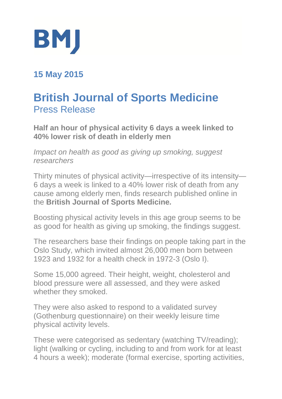

**15 May 2015**

## **British Journal of Sports Medicine** Press Release

**Half an hour of physical activity 6 days a week linked to 40% lower risk of death in elderly men**

*Impact on health as good as giving up smoking, suggest researchers*

Thirty minutes of physical activity—irrespective of its intensity— 6 days a week is linked to a 40% lower risk of death from any cause among elderly men, finds research published online in the **British Journal of Sports Medicine***.*

Boosting physical activity levels in this age group seems to be as good for health as giving up smoking, the findings suggest.

The researchers base their findings on people taking part in the Oslo Study, which invited almost 26,000 men born between 1923 and 1932 for a health check in 1972-3 (Oslo I).

Some 15,000 agreed. Their height, weight, cholesterol and blood pressure were all assessed, and they were asked whether they smoked.

They were also asked to respond to a validated survey (Gothenburg questionnaire) on their weekly leisure time physical activity levels.

These were categorised as sedentary (watching TV/reading); light (walking or cycling, including to and from work for at least 4 hours a week); moderate (formal exercise, sporting activities,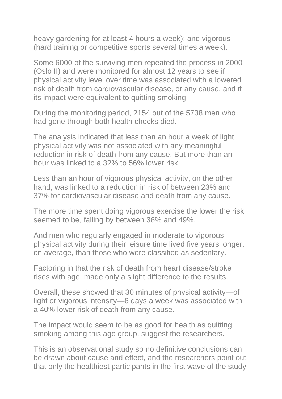heavy gardening for at least 4 hours a week); and vigorous (hard training or competitive sports several times a week).

Some 6000 of the surviving men repeated the process in 2000 (Oslo II) and were monitored for almost 12 years to see if physical activity level over time was associated with a lowered risk of death from cardiovascular disease, or any cause, and if its impact were equivalent to quitting smoking.

During the monitoring period, 2154 out of the 5738 men who had gone through both health checks died.

The analysis indicated that less than an hour a week of light physical activity was not associated with any meaningful reduction in risk of death from any cause. But more than an hour was linked to a 32% to 56% lower risk.

Less than an hour of vigorous physical activity, on the other hand, was linked to a reduction in risk of between 23% and 37% for cardiovascular disease and death from any cause.

The more time spent doing vigorous exercise the lower the risk seemed to be, falling by between 36% and 49%.

And men who regularly engaged in moderate to vigorous physical activity during their leisure time lived five years longer, on average, than those who were classified as sedentary.

Factoring in that the risk of death from heart disease/stroke rises with age, made only a slight difference to the results.

Overall, these showed that 30 minutes of physical activity—of light or vigorous intensity—6 days a week was associated with a 40% lower risk of death from any cause.

The impact would seem to be as good for health as quitting smoking among this age group, suggest the researchers.

This is an observational study so no definitive conclusions can be drawn about cause and effect, and the researchers point out that only the healthiest participants in the first wave of the study